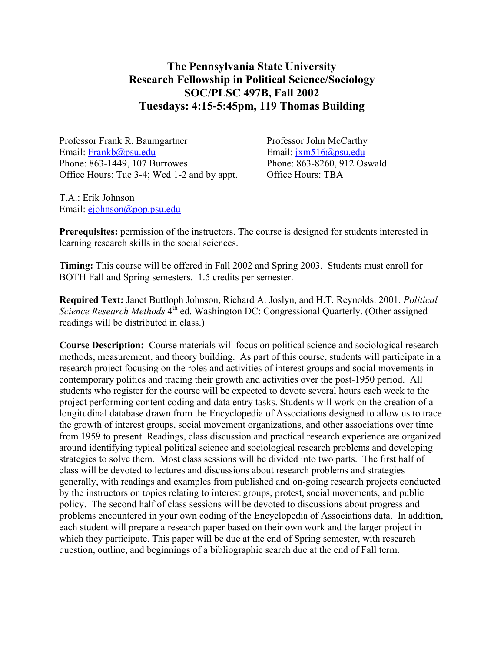## **The Pennsylvania State University Research Fellowship in Political Science/Sociology SOC/PLSC 497B, Fall 2002 Tuesdays: 4:15-5:45pm, 119 Thomas Building**

Professor Frank R. Baumgartner Professor John McCarthy Email: [Frankb@psu.edu](mailto:Frankb@psu.edu) Email: [jxm516@psu.edu](mailto:jxm516@psu.edu) Phone: 863-1449, 107 Burrowes Phone: 863-8260, 912 Oswald Office Hours: Tue 3-4; Wed 1-2 and by appt. Office Hours: TBA

T.A.: Erik Johnson Email: [ejohnson@pop.psu.edu](mailto:ejohnson@pop.psu.edu)

**Prerequisites:** permission of the instructors. The course is designed for students interested in learning research skills in the social sciences.

**Timing:** This course will be offered in Fall 2002 and Spring 2003. Students must enroll for BOTH Fall and Spring semesters. 1.5 credits per semester.

**Required Text:** Janet Buttloph Johnson, Richard A. Joslyn, and H.T. Reynolds. 2001. *Political Science Research Methods* 4<sup>th</sup> ed. Washington DC: Congressional Quarterly. (Other assigned readings will be distributed in class.)

**Course Description:** Course materials will focus on political science and sociological research methods, measurement, and theory building. As part of this course, students will participate in a research project focusing on the roles and activities of interest groups and social movements in contemporary politics and tracing their growth and activities over the post-1950 period. All students who register for the course will be expected to devote several hours each week to the project performing content coding and data entry tasks. Students will work on the creation of a longitudinal database drawn from the Encyclopedia of Associations designed to allow us to trace the growth of interest groups, social movement organizations, and other associations over time from 1959 to present. Readings, class discussion and practical research experience are organized around identifying typical political science and sociological research problems and developing strategies to solve them. Most class sessions will be divided into two parts. The first half of class will be devoted to lectures and discussions about research problems and strategies generally, with readings and examples from published and on-going research projects conducted by the instructors on topics relating to interest groups, protest, social movements, and public policy. The second half of class sessions will be devoted to discussions about progress and problems encountered in your own coding of the Encyclopedia of Associations data. In addition, each student will prepare a research paper based on their own work and the larger project in which they participate. This paper will be due at the end of Spring semester, with research question, outline, and beginnings of a bibliographic search due at the end of Fall term.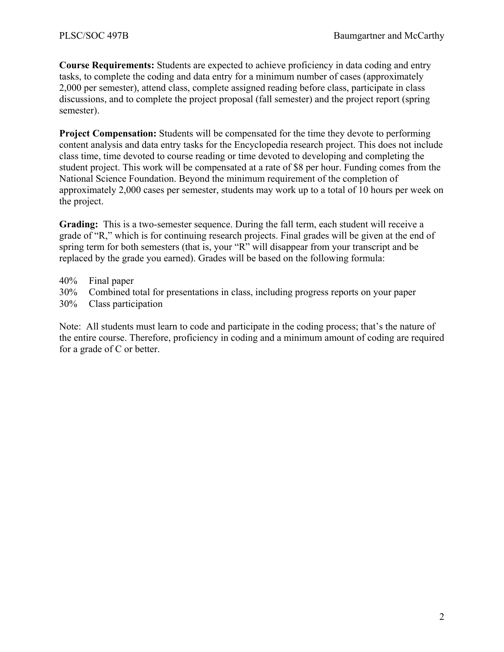**Course Requirements:** Students are expected to achieve proficiency in data coding and entry tasks, to complete the coding and data entry for a minimum number of cases (approximately 2,000 per semester), attend class, complete assigned reading before class, participate in class discussions, and to complete the project proposal (fall semester) and the project report (spring semester).

**Project Compensation:** Students will be compensated for the time they devote to performing content analysis and data entry tasks for the Encyclopedia research project. This does not include class time, time devoted to course reading or time devoted to developing and completing the student project. This work will be compensated at a rate of \$8 per hour. Funding comes from the National Science Foundation. Beyond the minimum requirement of the completion of approximately 2,000 cases per semester, students may work up to a total of 10 hours per week on the project.

**Grading:** This is a two-semester sequence. During the fall term, each student will receive a grade of "R," which is for continuing research projects. Final grades will be given at the end of spring term for both semesters (that is, your "R" will disappear from your transcript and be replaced by the grade you earned). Grades will be based on the following formula:

- 40% Final paper
- 30% Combined total for presentations in class, including progress reports on your paper
- 30% Class participation

Note: All students must learn to code and participate in the coding process; that's the nature of the entire course. Therefore, proficiency in coding and a minimum amount of coding are required for a grade of C or better.